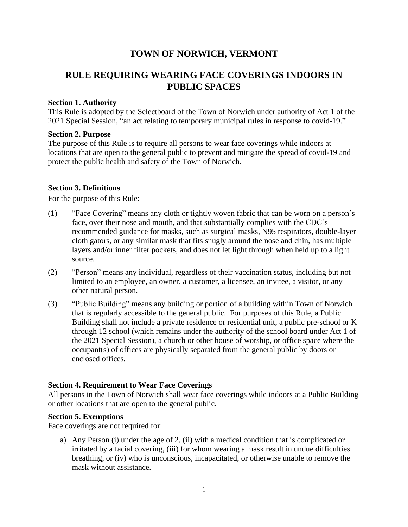## **TOWN OF NORWICH, VERMONT**

# **RULE REQUIRING WEARING FACE COVERINGS INDOORS IN PUBLIC SPACES**

#### **Section 1. Authority**

This Rule is adopted by the Selectboard of the Town of Norwich under authority of Act 1 of the 2021 Special Session, "an act relating to temporary municipal rules in response to covid-19."

#### **Section 2. Purpose**

The purpose of this Rule is to require all persons to wear face coverings while indoors at locations that are open to the general public to prevent and mitigate the spread of covid-19 and protect the public health and safety of the Town of Norwich.

#### **Section 3. Definitions**

For the purpose of this Rule:

- (1) "Face Covering" means any cloth or tightly woven fabric that can be worn on a person's face, over their nose and mouth, and that substantially complies with the CDC's recommended guidance for masks, such as surgical masks, N95 respirators, double-layer cloth gators, or any similar mask that fits snugly around the nose and chin, has multiple layers and/or inner filter pockets, and does not let light through when held up to a light source.
- (2) "Person" means any individual, regardless of their vaccination status, including but not limited to an employee, an owner, a customer, a licensee, an invitee, a visitor, or any other natural person.
- (3) "Public Building" means any building or portion of a building within Town of Norwich that is regularly accessible to the general public. For purposes of this Rule, a Public Building shall not include a private residence or residential unit, a public pre-school or K through 12 school (which remains under the authority of the school board under Act 1 of the 2021 Special Session), a church or other house of worship, or office space where the occupant(s) of offices are physically separated from the general public by doors or enclosed offices.

#### **Section 4. Requirement to Wear Face Coverings**

All persons in the Town of Norwich shall wear face coverings while indoors at a Public Building or other locations that are open to the general public.

#### **Section 5. Exemptions**

Face coverings are not required for:

a) Any Person (i) under the age of 2, (ii) with a medical condition that is complicated or irritated by a facial covering, (iii) for whom wearing a mask result in undue difficulties breathing, or (iv) who is unconscious, incapacitated, or otherwise unable to remove the mask without assistance.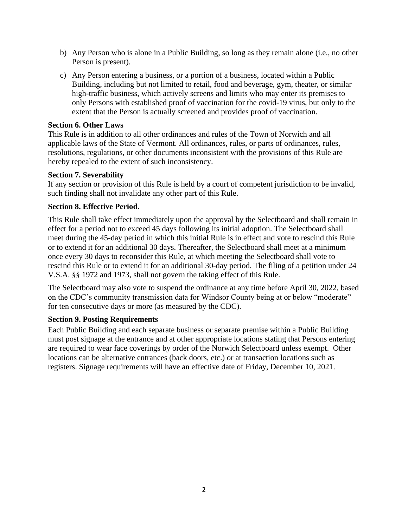- b) Any Person who is alone in a Public Building, so long as they remain alone (i.e., no other Person is present).
- c) Any Person entering a business, or a portion of a business, located within a Public Building, including but not limited to retail, food and beverage, gym, theater, or similar high-traffic business, which actively screens and limits who may enter its premises to only Persons with established proof of vaccination for the covid-19 virus, but only to the extent that the Person is actually screened and provides proof of vaccination.

#### **Section 6. Other Laws**

This Rule is in addition to all other ordinances and rules of the Town of Norwich and all applicable laws of the State of Vermont. All ordinances, rules, or parts of ordinances, rules, resolutions, regulations, or other documents inconsistent with the provisions of this Rule are hereby repealed to the extent of such inconsistency.

#### **Section 7. Severability**

If any section or provision of this Rule is held by a court of competent jurisdiction to be invalid, such finding shall not invalidate any other part of this Rule.

#### **Section 8. Effective Period.**

This Rule shall take effect immediately upon the approval by the Selectboard and shall remain in effect for a period not to exceed 45 days following its initial adoption. The Selectboard shall meet during the 45-day period in which this initial Rule is in effect and vote to rescind this Rule or to extend it for an additional 30 days. Thereafter, the Selectboard shall meet at a minimum once every 30 days to reconsider this Rule, at which meeting the Selectboard shall vote to rescind this Rule or to extend it for an additional 30-day period. The filing of a petition under 24 V.S.A. §§ 1972 and 1973, shall not govern the taking effect of this Rule.

The Selectboard may also vote to suspend the ordinance at any time before April 30, 2022, based on the CDC's community transmission data for Windsor County being at or below "moderate" for ten consecutive days or more (as measured by the CDC).

#### **Section 9. Posting Requirements**

Each Public Building and each separate business or separate premise within a Public Building must post signage at the entrance and at other appropriate locations stating that Persons entering are required to wear face coverings by order of the Norwich Selectboard unless exempt. Other locations can be alternative entrances (back doors, etc.) or at transaction locations such as registers. Signage requirements will have an effective date of Friday, December 10, 2021.